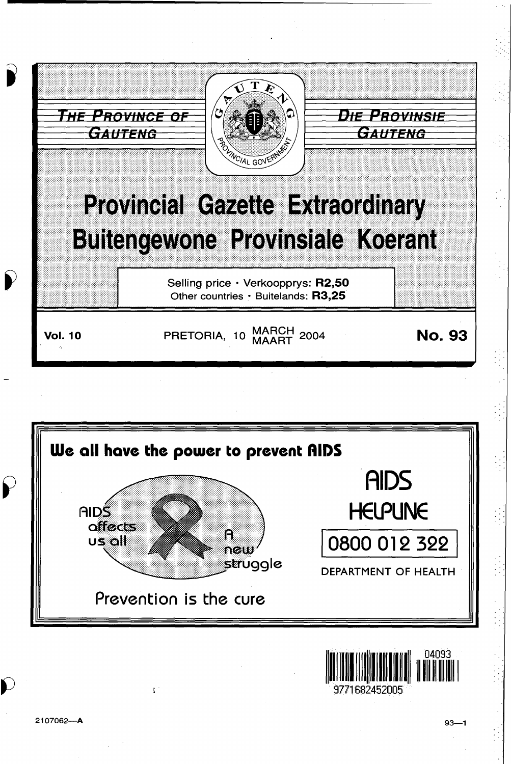

9771682452005

 $\tilde{\Sigma}$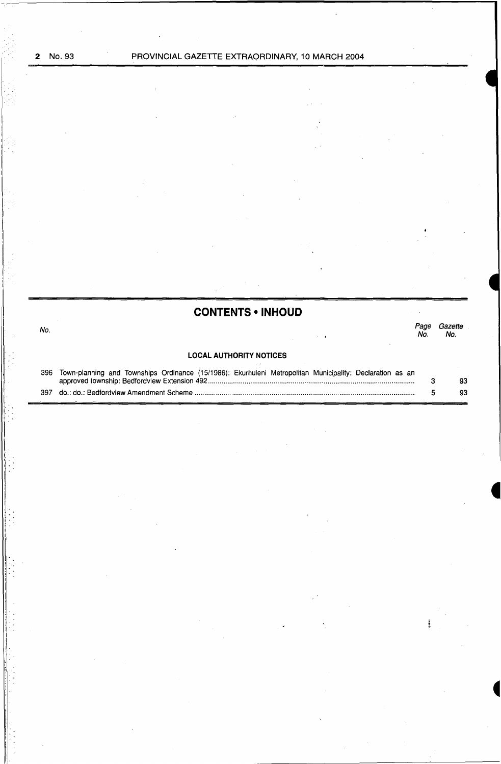, .. I· ļ. I I

 $\vdots$ 

I

No.

I •

I •.

# **CONTENTS • INHOUD**

#### *Page Gazette*  No. No.

# **LOCAL AUTHORITY NOTICES**

| 396 Town-planning and Townships Ordinance (15/1986): Ekurhuleni Metropolitan Municipality: Declaration as an |    |
|--------------------------------------------------------------------------------------------------------------|----|
|                                                                                                              | 93 |
|                                                                                                              | 93 |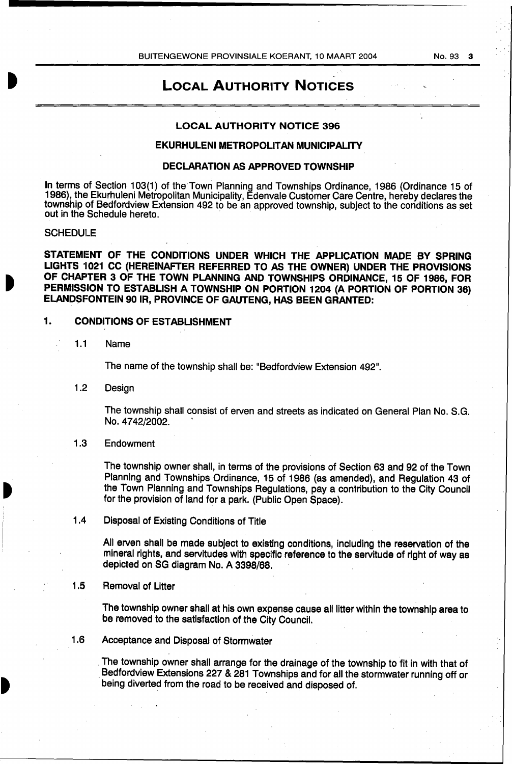No.93 3

# LOCAL AUTHORITY NOTICES

,.

#### LOCAL AUTHORITY NOTICE 396

# EKURHULENI METROPOLITAN MUNICIPALITY

#### DECLARATION AS APPROVED TOWNSHIP

In terms of Section 103(1) of the Town Planning and Townships Ordinance, 1986 (Ordinance 15 of 1986), the Ekurhuleni Metropolitan Municipality, Edenvale Customer Care Centre, hereby declares the township of Bedfordview Extension 492 to be an approved township, subject to the conditions as set out in the Schedule hereto.

#### **SCHEDULE**

STATEMENT OF THE CONDITIONS UNDER WHICH THE APPLICATION MADE BY SPRING LIGHTS 1021 CC (HEREINAFTER REFERRED TO AS THE OWNER) UNDER THE PROVISIONS OF CHAPTER 3 OF THE TOWN PLANNING AND TOWNSHIPS ORDINANCE, 15 OF 1986, FOR PERMISSION TO ESTABLISH A TOWNSHIP ON PORTION 1204 (A PORTION OF PORTION 36) ELANDSFONTEIN 90 IR, PROVINCE OF GAUTENG, HAS BEEN GRANTED:

### 1. CONDITIONS OF ESTABLISHMENT

1.1 Name

The name of the township shall be: "Bedfordview Extension 492".

1.2 Design

The township shall consist of erven and streets as indicated on General Plan No. S.G. No. 4742/2002.

1.3 Endowment

The township owner shall, in terms of the provisions of Section 63 and 92 of the Town Planning and Townships Ordinance, 15 of 1986 (as amended), and Regulation 43 of the Town Planning and Townships Regulations, pay a contribution to the City Council for the provision of land for a park. (Public Open Space).

### 1.4 Disposal of Existing Conditions of Title

All erven shall be made subject to existing conditions, including the reservation of the mineral rights, and servitudes with specific reference to the servitude of right of way as depleted on SG diagram No. A 3398/68.

# 1.5 Removal of Litter

The township owner shall at his own expense cause all litter within the township area to be removed to the satisfaction of the City Council.

1.6 Acceptance and Disposal of Stormwater

The township owner shall arrange for the drainage of the township to fit in with that of . Bedfordview Extensions 227 & 281 Townships and for all the stormwater running off or being diverted from the road to be received and disposed of.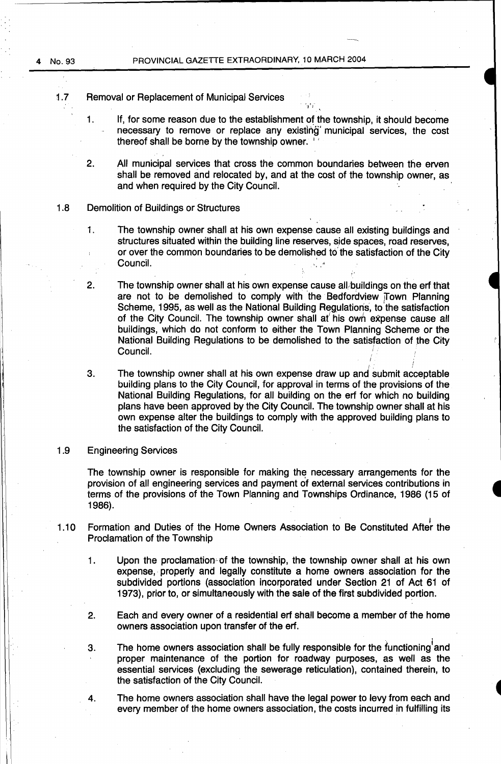- 1.7 Removal or Replacement of Municipal Services
	- 1. If, for some reason due to the establishment or the township, it should become necessary to remove or replace any existing' municipal services, the cost thereof shall be borne by the township owner.
	- 2. All municipal services that cross the common boundaries between the erven shall be removed and relocated by, and at the cost of the township owner, as and when required by the City Council.
- 1.8 Demolition of Buildings or Structures
	- 1. The township owner shall at his own expense cause all existing buildings and structures situated within the building line reserves, side spaces, road reserves, or over the common boundaries to be demolished to' the satisfaction of the City Council.
	- 2. The township owner shall at his own expense cause all buildings on the erf that are not to be demolished to comply with the Bedfordview Town Planning Scheme, 1995, as well as the National Building Regulations, to the satisfaction of the City Council. The township owner shall at' his own eXpense cause all buildings, which do not conform to either the Town Planning Scheme or the National Building Regulations to be demolished to the satisfaction of the City Council.  $\blacksquare$
	- I. 3. The township owner shall at his own expense draw up and submit acceptable building plans to the City Council, for approval in terms of the provisions of the National Building Regulations, for all building on the erf for which no building plans have been approved by the City Council. The township owner shall at his own expense alter the buildings to comply with the approved building plans to the satisfaction of the City Council.

#### 1 .9 Engineering Services

The township owner is responsible for making the necessary arrangements for the provision of all engineering services and payment of external services contributions in terms of the provisions of the Town Planning and Townships Ordinance, 1986 (15 of 1986).

- 1.10 Formation and Duties of the Home Owners Association to Be Constituted After the Proclamation of the Township
	- 1. Upon the proclamation-of the township, the township owner shall at his own expense, properly and legally constitute a home owners association for the subdivided portions (association incorporated under Section 21 of Act 61 of 1973), prior to, or simultaneously with the sale of the first subdivided portion.
	- 2. Each and every owner of a residential erf shall become a member of the home owners association upon transfer of the erf.
	- 3. The home owners association shall be fully responsible for the functioning and proper maintenance of the portion for roadway purposes, as well as the essential services (excluding the sewerage reticulation), contained therein, to the satisfaction of the City Council.
	- 4. The home owners association shall have the legal power to levy from each and every member of the home owners association, the costs incurred in fulfilling its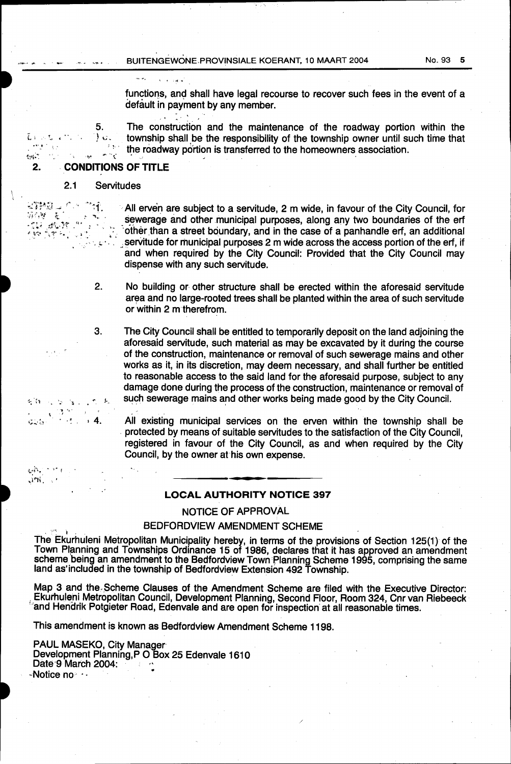BUITENGEWONE PROVINSIALE KOERANT, 10 MAART 2004

functions, and shall have legal recourse to recover such fees in the event of a default in payment by any member.

The construction and the maintenance of the roadway portion within the township shall be the responsibility of the township owner until such time that the roadway portion is transferred to the homeowners association.

#### iji.  $2.$ **CONDITIONS OF TITLE**

5.

 $\epsilon_{\rm SM}$ 

√静寂⇒

病,就是

 $\sim$  14

 $6.3$ 

بالحاج بالأولية Jeli.  $\mathcal{L}^{\mathcal{I}}$ 

 $\gamma_{\rm N}$ ંદ 경제<br>기년

 $, 4.$ 

 $\ddot{\phantom{a}}$ 

ste yn it<br>Yn Spiel

 $\frac{1}{2}$ 

 $\cdot^{\alpha}$ 

 $\sim 4$ 

.ن (

#### $2.1$ Servitudes

៉ា.

र्, .

All erven are subject to a servitude, 2 m wide, in favour of the City Council, for sewerage and other municipal purposes, along any two boundaries of the erf other than a street boundary, and in the case of a panhandle erf, an additional servitude for municipal purposes 2 m wide across the access portion of the erf, if and when required by the City Council: Provided that the City Council may dispense with any such servitude.

- 2. No building or other structure shall be erected within the aforesaid servitude area and no large-rooted trees shall be planted within the area of such servitude or within 2 m therefrom.
- 3. The City Council shall be entitled to temporarily deposit on the land adjoining the aforesaid servitude, such material as may be excavated by it during the course of the construction, maintenance or removal of such sewerage mains and other works as it, in its discretion, may deem necessary, and shall further be entitled to reasonable access to the said land for the aforesaid purpose, subject to any damage done during the process of the construction, maintenance or removal of such sewerage mains and other works being made good by the City Council.

All existing municipal services on the erven within the township shall be protected by means of suitable servitudes to the satisfaction of the City Council, registered in favour of the City Council, as and when required by the City Council, by the owner at his own expense.

#### **LOCAL AUTHORITY NOTICE 397**

#### NOTICE OF APPROVAL

#### **BEDFORDVIEW AMENDMENT SCHEME**

The Ekurhuleni Metropolitan Municipality hereby, in terms of the provisions of Section 125(1) of the Town Planning and Townships Ordinance 15 of 1986, declares that it has approved an amendment scheme being an amendment to land as included in the township of Bedfordview Extension 492 Township.

Map 3 and the Scheme Clauses of the Amendment Scheme are filed with the Executive Director: Ekurhuleni Metropolitan Council, Development Planning, Second Floor, Room 324, Cnr van Riebeeck and Hendrik Potgieter Road, Edenvale and are open for inspection at all reasonable times.

This amendment is known as Bedfordview Amendment Scheme 1198.

PAUL MASEKO, City Manager Development Planning, P O Box 25 Edenvale 1610 Date 9 March 2004: ⊶Notice no · · ·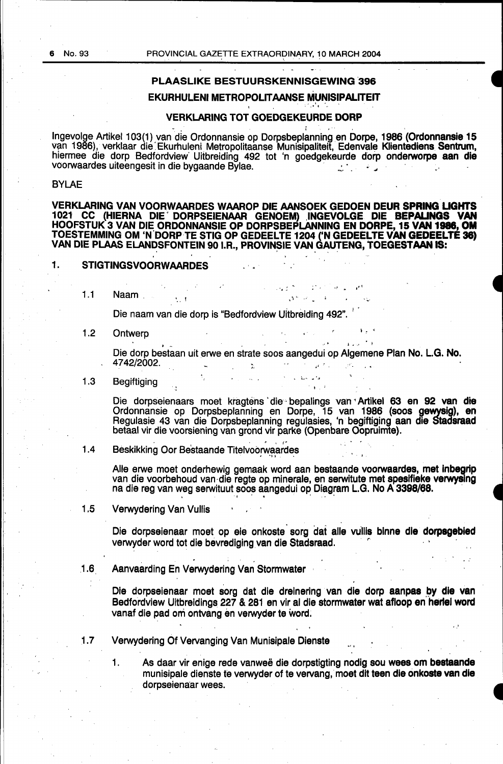# PLAASLIKE BESTUURSKENNISGEWING 396

# EKURHULENI METROPOLITAANSE MUNISIPALITEIT<br>VERKLARING TOT GOEDGEKEURDE DORP

' 1 •

Ingevolge Artikel 103(1) van die Ordonnansie op Dorpsbeplanning en Dorpe, 1986 (Ordonnansie 15 van 1986), verklaar die Ekurhuleni Metropolitaanse Munisipaliteit, Edenvale Klientediens Sentrum, hiermee die dorp Bedfordview Uitbreiding 492 tot 'n goedgekeurde dorp onderworpe aan die voorwaardes uiteengesit in die bygaande Bylae.

#### BYLAE

VERKLARING VAN VOORWAARDES WAAROP DIE AANSOEK GEDOEN DEUR SPRING UGHTS 1021 CC (HIERNA DIE DORPSEIENAAR GENOEM) INGEVOLGE DIE **BEPALINGS VAN** HOOFSTUK 3 VAN DIE ORDONNANSIE OP DORPSBEPLANNING EN DORPE, 15 VAN 1986, OM TOESTEMMING OM 'N.DORP TE STIG OP GEDEELTE 1204 ('N GEDEELTE VAN GEDEELTE 38) VAN DIE PLAAS ELANDSFONTEIN 90 I.R., PROVINSIE VAN GAUTENG, TOEGEST**AAN IS:** 

### 1. STIGTINGSVOORWAARDES

1.1 Naam ...

Die naam van die dorp is "Bedfordview Uitbreiding 492".

1.2 Ontwerp<br>Die dorp bestaan uit erwe en strate soos aangedui op Algemene Plan No. L.G. No.<br>4742/2002. 4742/2002. . -- . . - ~· •' : - ...

1.3 Begiftiging ' '

Die dorpseienaars moet kragtens die bepalings van Artikel 63 en 92 van die Ordonnansie op Dorpsbeplanning en Dorpe, 15 van 1986 (soos gewysig), en Regulasie 43 van die Dorpsbeplanning regulasies, 'n begiftiging aan die Stadsraad betaal vir die voorsiening van grond vir parke (Openbare Oopruimte).

1.4 Beskikking Oor Bestaande Titelvoorwaardes

• • "' ' *f""* 

Alle erwe moet onderhewig gemaak word aan bestaande voorwaardes, met inbegrip van die voorbehoud van die regte op minerale, en serwitute met spesifieke verwysing na die reg van weg serwituut soos aangedui op Diagram L.G. No A 3398/68.

1 .5 Verwydering Van Vullis

Die dorpseienaar moet op eie onkoste sorg dat alle vullis binne die dorpsgebied verwyder word tot die bevrediging van die Stadsraad.

.1.6. Aanvaarding En Verwydering Van Stormwater

Die dorpseienaar moet sorg dat die dreinering van die dorp aanpas by die van Bedfordview Uitbreidings 227 & 281 en vir al die stormwater wat afloop en herlei word vanaf die pad om ontvang en verwyder te word.

·.'

.1. 7 Verwydering Of Vervanging Van Munisipale Dienste

1. As daar vir enige rede vanweë die dorpstigting nodig sou wees om bestaande munisipale dienste te verwyder of te vervang, moet dit teen die onkoste van die dorpseienaar wees.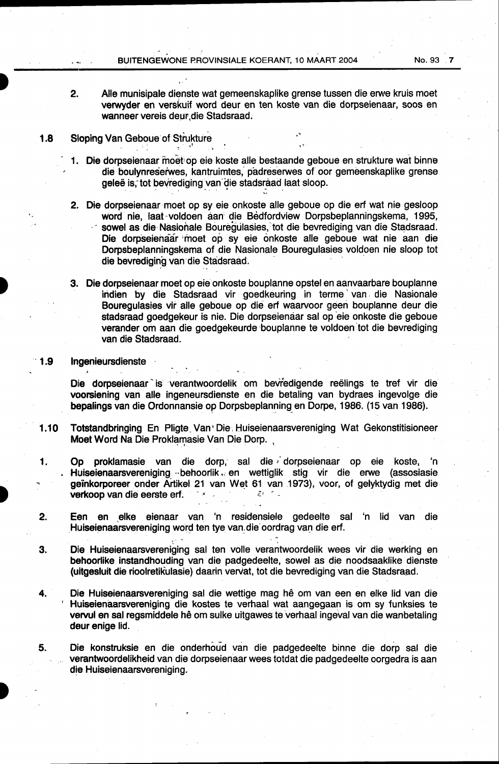- 2. Aile munisipale dienste wat gemeenskaplike grense tussen die erwe kruis meet verwyder en verskuif word deur en ten koste van die dorpseienaar, soos en wanneer vereis deur, die Stadsraad.
- 1.8 Sloping Van Geboue of Strukture
	- 1. Die dorpseienaar moet:op eie koste aile bestaande geboue en strukture wat binn·e die boulynreserwes, kantruimtes, padreserwes of oor gemeenskaplike grense geleë is, tot bevrediging van die stadsraad laat sloop.
	- 2. Die dorpseienaar moet op sy eie onkoste alle geboue op die erf wat nie gesloop word nie, laat·voldoen aan die Bedfordview Dorpsbeplanningskema, 1995, sowel as die Nasionale Bouregulasies, tot die bevrediging van die Stadsraad. Die dorpseienaar moet op sy eie onkoste alle geboue wat nie aan die Dorpsbeplanningskema of die Nasionale Bouregulasies voldoen nie sloop tot die bevrediging van die Stadsraad.
	- 3. Die dorpseienaar meet op eie onkoste bouplanne opstel en aanvaarbare bouplanne indien by die Stadsraad vir goedkeuring in terme van die Nasionale Bouregulasies vir alle geboue op die erf waarvoor geen bouplanne deur die stadsraad goedgekeur is nie. Die dorpseienaar sal op 'eie onkoste die geboue verander om aan die goedgekeurde bouplanne te voldoen tot die bevrediging van die Stadsraad.

#### 1.9 Ingenieursdienste

Die dorpseienaar is verantwoordelik om bevredigende reëlings te tref vir die voorsiening van aile ingeneursdienste en die betaling van bydraes ingevolge die bepalings van die Ordonnansie op Dorpsbeplanning en Dorpe, 1986. (15 van 1986).

1.10 Totstandbringing En Pligte. Van• Die; Huiseienaarsvereniging Wat Gekonstitisioneer Moet Word Na Die Proklamasie Van Die Dorp.

1. Op proklamasie van die dorp, sal die dorpseienaar op eie koste, 'n Huiseienaarsvereniging ... behoorlik ... en wettiglik stig vir die erwe (assosiasie geinkorporeer onder Artikel 21 van Wet 61 van 1973), voor, of gelyktydig met die **verkoop van die eerste erf.**  $\epsilon$ *r* 

- 2. Een en elke eienaar van 'n residensiele gedeelte sal 'n lid van die Huiseienaarsvereniging word ten tye van die oordrag van die erf.
- **3.** Die Huiseienaarsvereniging sal ten volle verantwoordelik wees vir die werking en behoorlike instandhouding van die padgedeelte, sowel as die noodsaaklike dienste (uitgesluit die rioolretikulasie) daarin vervat, tot die bevrediging van die Stadsraad.
- 4. Die Huiseienaarsvereniging sal die wettige mag he om van een en elke lid van die ' Huiseienaarsvereniging die kostes te verhaal wat aangegaan is om sy funksies te vervul en sal regsmiddele hê om sulke uitgawes te verhaal ingeval van die wanbetaling deur enige lid.
- 5. Die konstruksie en die onderhoud van die padgedeelte binne die dorp sal die verantwoordelikheid van die dorpseienaar wees totdat die padgedeelte oorgedra is aan die Huiseienaarsvereniging.